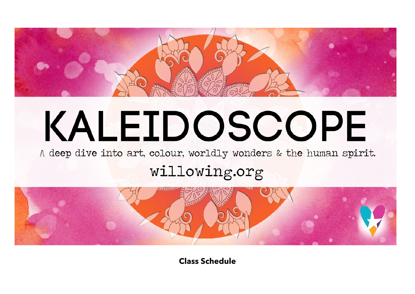

# KALEIDOSCOPE

A deep dive into art, colour, worldly wonders & the human spirit.

## willowing.org



**Class Schedule**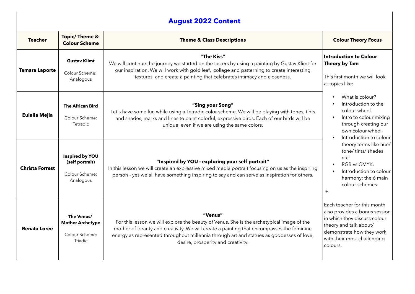### **August 2022 Content**

| <b>Teacher</b>         | <b>Topic/Theme &amp;</b><br><b>Colour Scheme</b>                          | <b>Theme &amp; Class Descriptions</b>                                                                                                                                                                                                                                                                                              | <b>Colour Theory Focus</b>                                                                                                                                                                     |
|------------------------|---------------------------------------------------------------------------|------------------------------------------------------------------------------------------------------------------------------------------------------------------------------------------------------------------------------------------------------------------------------------------------------------------------------------|------------------------------------------------------------------------------------------------------------------------------------------------------------------------------------------------|
| <b>Tamara Laporte</b>  | <b>Gustav Klimt</b><br>Colour Scheme:<br>Analogous                        | "The Kiss"<br>We will continue the journey we started on the tasters by using a painting by Gustav Klimt for<br>our inspiration. We will work with gold leaf, collage and patterning to create interesting<br>textures and create a painting that celebrates intimacy and closeness.                                               | <b>Introduction to Colour</b><br>Theory by Tam<br>This first month we will look<br>at topics like:                                                                                             |
| <b>Eulalia Mejia</b>   | <b>The African Bird</b><br>Colour Scheme:<br>Tetradic                     | "Sing your Song"<br>Let's have some fun while using a Tetradic color scheme. We will be playing with tones, tints<br>and shades, marks and lines to paint colorful, expressive birds. Each of our birds will be<br>unique, even if we are using the same colors.                                                                   | What is colour?<br>Introduction to the<br>colour wheel.<br>Intro to colour mixing<br>through creating our<br>own colour wheel.<br>Introduction to colour                                       |
| <b>Christa Forrest</b> | Inspired by YOU<br>(self portrait)<br>Colour Scheme:<br>Analogous         | "Inspired by YOU - exploring your self portrait"<br>In this lesson we will create an expressive mixed media portrait focusing on us as the inspiring<br>person - yes we all have something inspiring to say and can serve as inspiration for others.                                                                               | theory terms like hue/<br>tone/tints/shades<br>etc.<br>RGB vs CMYK.<br>Introduction to colour<br>harmony; the 6 main<br>colour schemes.<br>$+$                                                 |
| <b>Renata Loree</b>    | The Venus/<br><b>Mother Archetype</b><br>Colour Scheme:<br><b>Triadic</b> | "Venus"<br>For this lesson we will explore the beauty of Venus. She is the archetypical image of the<br>mother of beauty and creativity. We will create a painting that encompasses the feminine<br>energy as represented throughout millennia through art and statues as goddesses of love,<br>desire, prosperity and creativity. | Each teacher for this month<br>also provides a bonus session<br>in which they discuss colour<br>theory and talk about/<br>demonstrate how they work<br>with their most challenging<br>colours. |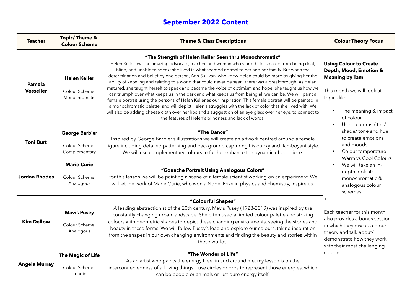#### **September 2022 Content**

| <b>Teacher</b>             | <b>Topic/Theme &amp;</b><br><b>Colour Scheme</b>             | <b>Theme &amp; Class Descriptions</b>                                                                                                                                                                                                                                                                                                                                                                                                                                                                                                                                                                                                                                                                                                                                                                                                                                                                                                                                                                                                                                                                       | <b>Colour Theory Focus</b>                                                                                                                                                                                                                                                                                                                                                                                                                                                                                                                                                                                                                      |
|----------------------------|--------------------------------------------------------------|-------------------------------------------------------------------------------------------------------------------------------------------------------------------------------------------------------------------------------------------------------------------------------------------------------------------------------------------------------------------------------------------------------------------------------------------------------------------------------------------------------------------------------------------------------------------------------------------------------------------------------------------------------------------------------------------------------------------------------------------------------------------------------------------------------------------------------------------------------------------------------------------------------------------------------------------------------------------------------------------------------------------------------------------------------------------------------------------------------------|-------------------------------------------------------------------------------------------------------------------------------------------------------------------------------------------------------------------------------------------------------------------------------------------------------------------------------------------------------------------------------------------------------------------------------------------------------------------------------------------------------------------------------------------------------------------------------------------------------------------------------------------------|
| Pamela<br><b>Vosseller</b> | <b>Helen Keller</b><br>Colour Scheme:<br>Monochromatic       | "The Strength of Helen Keller Seen thru Monochromatic"<br>Helen Keller, was an amazing advocate, teacher, and woman who started life isolated from being deaf,<br>blind, and unable to speak; she lived in what seemed normal to her and her family. But when the<br>determination and belief by one person, Ann Sullivan, who knew Helen could be more by giving her the<br>ability of knowing and relating to a world that could never be seen, there was a breakthrough. As Helen<br>matured, she taught herself to speak and became the voice of optimism and hope; she taught us how we<br>can triumph over what keeps us in the dark and what keeps us from being all we can be. We will paint a<br>female portrait using the persona of Helen Keller as our inspiration. This female portrait will be painted in<br>a monochromatic palette, and will depict Helen's struggles with the lack of color that she lived with. We<br>will also be adding cheese cloth over her lips and a suggestion of an eye glass over her eye, to connect to<br>the features of Helen's blindness and lack of words. | <b>Using Colour to Create</b><br>Depth, Mood, Emotion &<br><b>Meaning by Tam</b><br>This month we will look at<br>topics like:<br>The meaning & impact<br>of colour<br>Using contrast/ tint/<br>$\bullet$<br>shade/tone and hue<br>to create emotions<br>and moods<br>Colour temperature;<br>$\bullet$<br>Warm vs Cool Colours<br>We will take an in-<br>$\bullet$<br>depth look at:<br>monochromatic &<br>analogous colour<br>schemes<br>$+$<br>Each teacher for this month<br>also provides a bonus session<br>in which they discuss colour<br>theory and talk about/<br>demonstrate how they work<br>with their most challenging<br>colours. |
| <b>Toni Burt</b>           | George Barbier<br>Colour Scheme:<br>Complementary            | "The Dance"<br>Inspired by George Barbier's illustrations we will create an artwork centred around a female<br>figure including detailed patterning and background capturing his quirky and flamboyant style.<br>We will use complementary colours to further enhance the dynamic of our piece.                                                                                                                                                                                                                                                                                                                                                                                                                                                                                                                                                                                                                                                                                                                                                                                                             |                                                                                                                                                                                                                                                                                                                                                                                                                                                                                                                                                                                                                                                 |
| <b>Jordan Rhodes</b>       | <b>Marie Curie</b><br>Colour Scheme:<br>Analogous            | "Gouache Portrait Using Analogous Colors"<br>For this lesson we will be painting a scene of a female scientist working on an experiment. We<br>will let the work of Marie Curie, who won a Nobel Prize in physics and chemistry, inspire us.                                                                                                                                                                                                                                                                                                                                                                                                                                                                                                                                                                                                                                                                                                                                                                                                                                                                |                                                                                                                                                                                                                                                                                                                                                                                                                                                                                                                                                                                                                                                 |
| <b>Kim Dellow</b>          | <b>Mavis Pusey</b><br>Colour Scheme:<br>Analogous            | "Colourful Shapes"<br>A leading abstractionist of the 20th century, Mavis Pusey (1928-2019) was inspired by the<br>constantly changing urban landscape. She often used a limited colour palette and striking<br>colours with geometric shapes to depict these changing environments, seeing the stories and<br>beauty in these forms. We will follow Pusey's lead and explore our colours, taking inspiration<br>from the shapes in our own changing environments and finding the beauty and stories within<br>these worlds.                                                                                                                                                                                                                                                                                                                                                                                                                                                                                                                                                                                |                                                                                                                                                                                                                                                                                                                                                                                                                                                                                                                                                                                                                                                 |
| <b>Angela Murray</b>       | <b>The Magic of Life</b><br>Colour Scheme:<br><b>Triadic</b> | "The Wonder of Life"<br>As an artist who paints the energy I feel in and around me, my lesson is on the<br>interconnectedness of all living things. I use circles or orbs to represent those energies, which<br>can be people or animals or just pure energy itself.                                                                                                                                                                                                                                                                                                                                                                                                                                                                                                                                                                                                                                                                                                                                                                                                                                        |                                                                                                                                                                                                                                                                                                                                                                                                                                                                                                                                                                                                                                                 |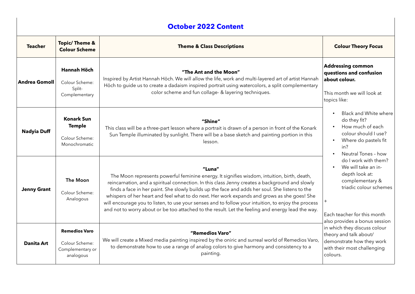| <b>October 2022 Content</b> |                                                                         |                                                                                                                                                                                                                                                                                                                                                                                                                                                                                                                                                                                                                      |                                                                                                                                                                                                                                                                                                                           |  |  |  |
|-----------------------------|-------------------------------------------------------------------------|----------------------------------------------------------------------------------------------------------------------------------------------------------------------------------------------------------------------------------------------------------------------------------------------------------------------------------------------------------------------------------------------------------------------------------------------------------------------------------------------------------------------------------------------------------------------------------------------------------------------|---------------------------------------------------------------------------------------------------------------------------------------------------------------------------------------------------------------------------------------------------------------------------------------------------------------------------|--|--|--|
| <b>Teacher</b>              | <b>Topic/ Theme &amp;</b><br><b>Colour Scheme</b>                       | <b>Theme &amp; Class Descriptions</b>                                                                                                                                                                                                                                                                                                                                                                                                                                                                                                                                                                                | <b>Colour Theory Focus</b>                                                                                                                                                                                                                                                                                                |  |  |  |
| <b>Andrea Gomoll</b>        | Hannah Höch<br>Colour Scheme:<br>Split-<br>Complementary                | "The Ant and the Moon"<br>Inspired by Artist Hannah Höch. We will allow the life, work and multi-layered art of artist Hannah<br>Höch to guide us to create a dadaism inspired portrait using watercolors, a split complementary<br>color scheme and fun collage- & layering techniques.                                                                                                                                                                                                                                                                                                                             | <b>Addressing common</b><br>questions and confusion<br>about colour.<br>This month we will look at<br>topics like:                                                                                                                                                                                                        |  |  |  |
| <b>Nadyia Duff</b>          | <b>Konark Sun</b><br><b>Temple</b><br>Colour Scheme:<br>Monochromatic   | "Shine"<br>This class will be a three-part lesson where a portrait is drawn of a person in front of the Konark<br>Sun Temple illuminated by sunlight. There will be a base sketch and painting portion in this<br>lesson.                                                                                                                                                                                                                                                                                                                                                                                            | Black and White where<br>do they fit?<br>How much of each<br>colour should I use?<br>Where do pastels fit<br>in?<br>Neutral Tones - how                                                                                                                                                                                   |  |  |  |
| <b>Jenny Grant</b>          | The Moon<br>Colour Scheme:<br>Analogous                                 | "Luna"<br>The Moon represents powerful feminine energy. It signifies wisdom, intuition, birth, death,<br>reincarnation, and a spiritual connection. In this class Jenny creates a background and slowly<br>finds a face in her paint. She slowly builds up the face and adds her soul. She listens to the<br>whispers of her heart and feel what to do next. Her work expands and grows as she goes! She<br>will encourage you to listen, to use your senses and to follow your intuition, to enjoy the process<br>and not to worry about or be too attached to the result. Let the feeling and energy lead the way. | do I work with them?<br>We will take an in-<br>$\bullet$<br>depth look at:<br>complementary &<br>triadic colour schemes<br>Each teacher for this month<br>also provides a bonus session<br>in which they discuss colour<br>theory and talk about/<br>demonstrate how they work<br>with their most challenging<br>colours. |  |  |  |
| Danita Art                  | <b>Remedios Varo</b><br>Colour Scheme:<br>Complementary or<br>analogous | "Remedios Varo"<br>We will create a Mixed media painting inspired by the oniric and surreal world of Remedios Varo,<br>to demonstrate how to use a range of analog colors to give harmony and consistency to a<br>painting.                                                                                                                                                                                                                                                                                                                                                                                          |                                                                                                                                                                                                                                                                                                                           |  |  |  |